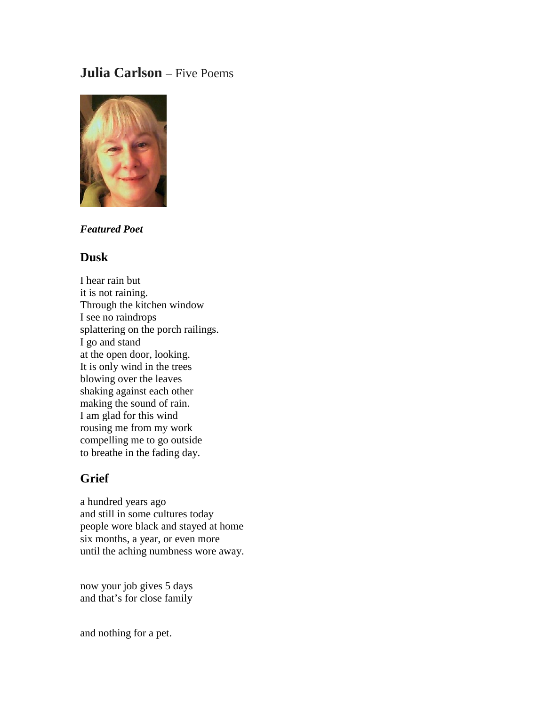# **Julia Carlson** – Five Poems



### *Featured Poet*

#### **Dusk**

I hear rain but it is not raining. Through the kitchen window I see no raindrops splattering on the porch railings. I go and stand at the open door, looking. It is only wind in the trees blowing over the leaves shaking against each other making the sound of rain. I am glad for this wind rousing me from my work compelling me to go outside to breathe in the fading day.

# **Grief**

a hundred years ago and still in some cultures today people wore black and stayed at home six months, a year, or even more until the aching numbness wore away.

now your job gives 5 days and that's for close family

and nothing for a pet.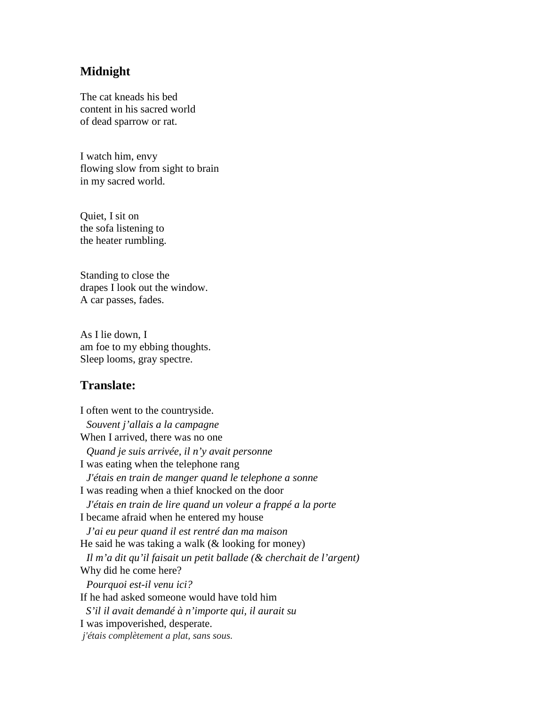## **Midnight**

The cat kneads his bed content in his sacred world of dead sparrow or rat.

I watch him, envy flowing slow from sight to brain in my sacred world.

Quiet, I sit on the sofa listening to the heater rumbling.

Standing to close the drapes I look out the window. A car passes, fades.

As I lie down, I am foe to my ebbing thoughts. Sleep looms, gray spectre.

### **Translate:**

I often went to the countryside.  *Souvent j'allais a la campagne* When I arrived, there was no one  *Quand je suis arrivée, il n'y avait personne* I was eating when the telephone rang  *J'étais en train de manger quand le telephone a sonne* I was reading when a thief knocked on the door  *J'étais en train de lire quand un voleur a frappé a la porte* I became afraid when he entered my house  *J'ai eu peur quand il est rentré dan ma maison* He said he was taking a walk  $(\&$  looking for money)  *Il m'a dit qu'il faisait un petit ballade (& cherchait de l'argent)* Why did he come here?  *Pourquoi est-il venu ici?* If he had asked someone would have told him *S'il il avait demandé à n'importe qui, il aurait su* I was impoverished, desperate. *j'étais complètement a plat, sans sous.*